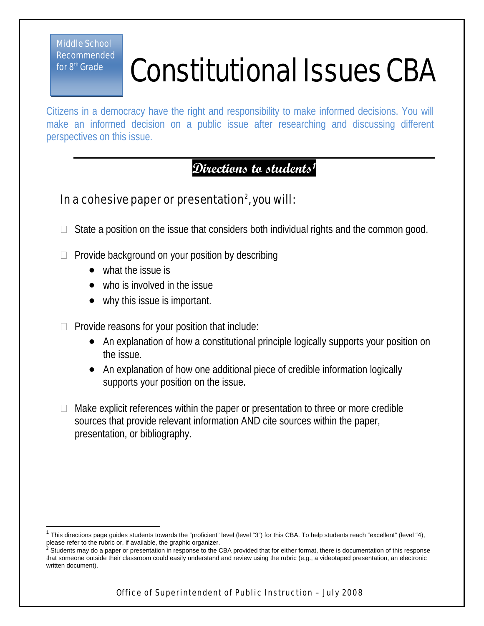Middle School Recommended for 8<sup>th</sup> Grade

 $\overline{1}$ 

## Constitutional Issues CBA

Citizens in a democracy have the right and responsibility to make informed decisions. You will make an informed decision on a public issue after researching and discussing different perspectives on this issue.

## **Directions to students[1](#page-0-0)**

## In a cohesive paper or presentation $^2$ , you will:

- $\Box$  State a position on the issue that considers both individual rights and the common good.
- $\Box$  Provide background on your position by describing
	- what the issue is
	- who is involved in the issue
	- why this issue is important.
- $\Box$  Provide reasons for your position that include:
	- An explanation of how a constitutional principle logically supports your position on the issue.
	- An explanation of how one additional piece of credible information logically supports your position on the issue.
- $\Box$  Make explicit references within the paper or presentation to three or more credible sources that provide relevant information AND cite sources within the paper, presentation, or bibliography.

<span id="page-0-0"></span><sup>&#</sup>x27; This directions page guides students towards the "proficient" level (level "3") for this CBA. To help students reach "excellent" (level "4),<br>please refer to the rubric or, if available, the graphic organizer.

<span id="page-0-1"></span>Students may do a paper or presentation in response to the CBA provided that for either format, there is documentation of this response that someone outside their classroom could easily understand and review using the rubric (e.g., a videotaped presentation, an electronic written document).